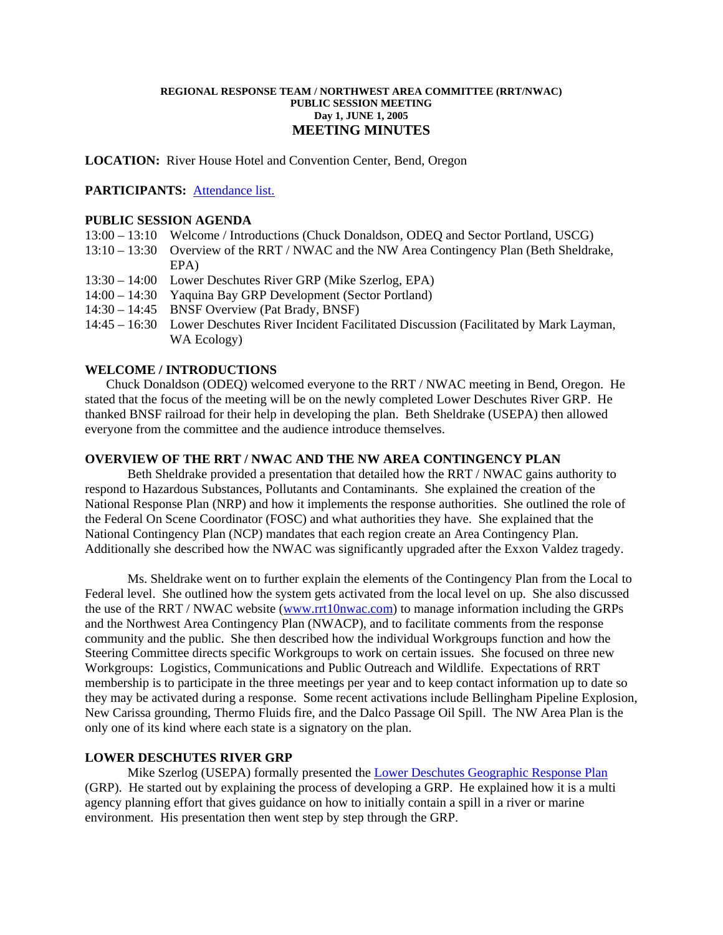### **REGIONAL RESPONSE TEAM / NORTHWEST AREA COMMITTEE (RRT/NWAC) PUBLIC SESSION MEETING Day 1, JUNE 1, 2005 MEETING MINUTES**

**LOCATION:** River House Hotel and Convention Center, Bend, Oregon

## **PARTICIPANTS:** Attendance list.

## **PUBLIC SESSION AGENDA**

- 13:00 13:10 Welcome / Introductions (Chuck Donaldson, ODEQ and Sector Portland, USCG)
- 13:10 13:30 Overview of the RRT / NWAC and the NW Area Contingency Plan (Beth Sheldrake, EPA)
- 13:30 14:00 Lower Deschutes River GRP (Mike Szerlog, EPA)
- 14:00 14:30 Yaquina Bay GRP Development (Sector Portland)
- 14:30 14:45 BNSF Overview (Pat Brady, BNSF)
- 14:45 16:30 Lower Deschutes River Incident Facilitated Discussion (Facilitated by Mark Layman, WA Ecology)

## **WELCOME / INTRODUCTIONS**

Chuck Donaldson (ODEQ) welcomed everyone to the RRT / NWAC meeting in Bend, Oregon. He stated that the focus of the meeting will be on the newly completed Lower Deschutes River GRP. He thanked BNSF railroad for their help in developing the plan. Beth Sheldrake (USEPA) then allowed everyone from the committee and the audience introduce themselves.

## **OVERVIEW OF THE RRT / NWAC AND THE NW AREA CONTINGENCY PLAN**

 Beth Sheldrake provided a presentation that detailed how the RRT / NWAC gains authority to respond to Hazardous Substances, Pollutants and Contaminants. She explained the creation of the National Response Plan (NRP) and how it implements the response authorities. She outlined the role of the Federal On Scene Coordinator (FOSC) and what authorities they have. She explained that the National Contingency Plan (NCP) mandates that each region create an Area Contingency Plan. Additionally she described how the NWAC was significantly upgraded after the Exxon Valdez tragedy.

 Ms. Sheldrake went on to further explain the elements of the Contingency Plan from the Local to Federal level. She outlined how the system gets activated from the local level on up. She also discussed the use of the RRT / NWAC website ([www.rrt10nwac.com\)](http://www.rrt10nwac.com/) to manage information including the GRPs and the Northwest Area Contingency Plan (NWACP), and to facilitate comments from the response community and the public. She then described how the individual Workgroups function and how the Steering Committee directs specific Workgroups to work on certain issues. She focused on three new Workgroups: Logistics, Communications and Public Outreach and Wildlife. Expectations of RRT membership is to participate in the three meetings per year and to keep contact information up to date so they may be activated during a response. Some recent activations include Bellingham Pipeline Explosion, New Carissa grounding, Thermo Fluids fire, and the Dalco Passage Oil Spill. The NW Area Plan is the only one of its kind where each state is a signatory on the plan.

## **LOWER DESCHUTES RIVER GRP**

Mike Szerlog (USEPA) formally presented the **Lower Deschutes Geographic Response Plan** (GRP). He started out by explaining the process of developing a GRP. He explained how it is a multi agency planning effort that gives guidance on how to initially contain a spill in a river or marine environment. His presentation then went step by step through the GRP.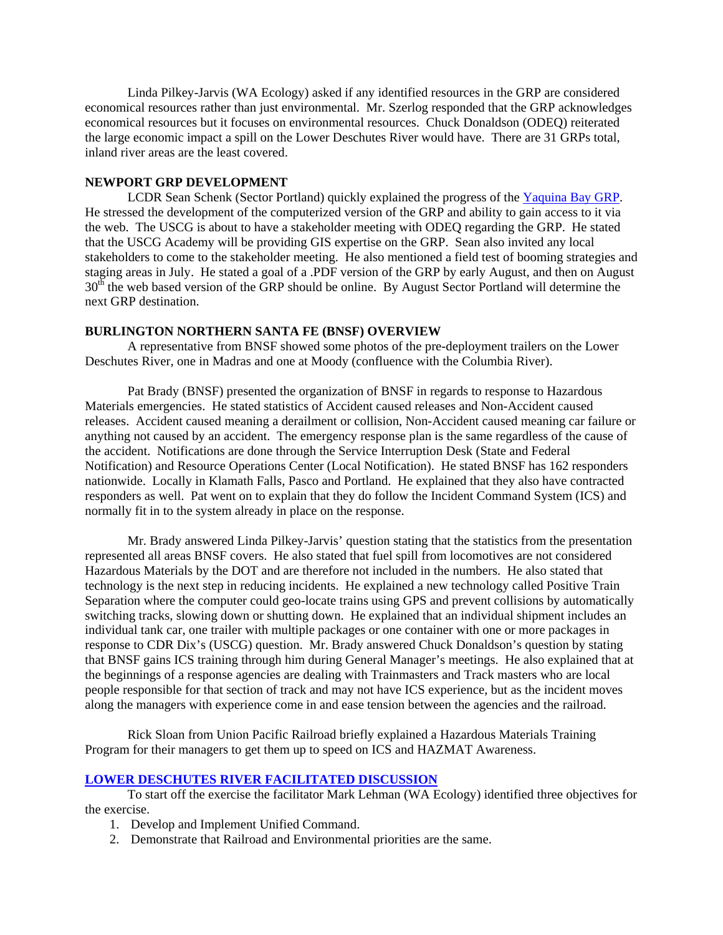Linda Pilkey-Jarvis (WA Ecology) asked if any identified resources in the GRP are considered economical resources rather than just environmental. Mr. Szerlog responded that the GRP acknowledges economical resources but it focuses on environmental resources. Chuck Donaldson (ODEQ) reiterated the large economic impact a spill on the Lower Deschutes River would have. There are 31 GRPs total, inland river areas are the least covered.

## **NEWPORT GRP DEVELOPMENT**

LCDR Sean Schenk (Sector Portland) quickly explained the progress of the [Yaquina Bay GRP.](http://private.nwac.ene.com/files/temp/JUNE%2005%20RRT%2Eppt) He stressed the development of the computerized version of the GRP and ability to gain access to it via the web. The USCG is about to have a stakeholder meeting with ODEQ regarding the GRP. He stated that the USCG Academy will be providing GIS expertise on the GRP. Sean also invited any local stakeholders to come to the stakeholder meeting. He also mentioned a field test of booming strategies and staging areas in July. He stated a goal of a .PDF version of the GRP by early August, and then on August 30<sup>th</sup> the web based version of the GRP should be online. By August Sector Portland will determine the next GRP destination.

## **BURLINGTON NORTHERN SANTA FE (BNSF) OVERVIEW**

 A representative from BNSF showed some photos of the pre-deployment trailers on the Lower Deschutes River, one in Madras and one at Moody (confluence with the Columbia River).

 Pat Brady (BNSF) presented the organization of BNSF in regards to response to Hazardous Materials emergencies. He stated statistics of Accident caused releases and Non-Accident caused releases. Accident caused meaning a derailment or collision, Non-Accident caused meaning car failure or anything not caused by an accident. The emergency response plan is the same regardless of the cause of the accident. Notifications are done through the Service Interruption Desk (State and Federal Notification) and Resource Operations Center (Local Notification). He stated BNSF has 162 responders nationwide. Locally in Klamath Falls, Pasco and Portland. He explained that they also have contracted responders as well. Pat went on to explain that they do follow the Incident Command System (ICS) and normally fit in to the system already in place on the response.

Mr. Brady answered Linda Pilkey-Jarvis' question stating that the statistics from the presentation represented all areas BNSF covers. He also stated that fuel spill from locomotives are not considered Hazardous Materials by the DOT and are therefore not included in the numbers. He also stated that technology is the next step in reducing incidents. He explained a new technology called Positive Train Separation where the computer could geo-locate trains using GPS and prevent collisions by automatically switching tracks, slowing down or shutting down. He explained that an individual shipment includes an individual tank car, one trailer with multiple packages or one container with one or more packages in response to CDR Dix's (USCG) question. Mr. Brady answered Chuck Donaldson's question by stating that BNSF gains ICS training through him during General Manager's meetings. He also explained that at the beginnings of a response agencies are dealing with Trainmasters and Track masters who are local people responsible for that section of track and may not have ICS experience, but as the incident moves along the managers with experience come in and ease tension between the agencies and the railroad.

Rick Sloan from Union Pacific Railroad briefly explained a Hazardous Materials Training Program for their managers to get them up to speed on ICS and HAZMAT Awareness.

## **[LOWER DESCHUTES RIVER FACILITATED DISCUSSION](http://private.nwac.ene.com/files/temp/tabletop%20scenario%5Fdeschutes%20river%2Eppt)**

 To start off the exercise the facilitator Mark Lehman (WA Ecology) identified three objectives for the exercise.

- 1. Develop and Implement Unified Command.
- 2. Demonstrate that Railroad and Environmental priorities are the same.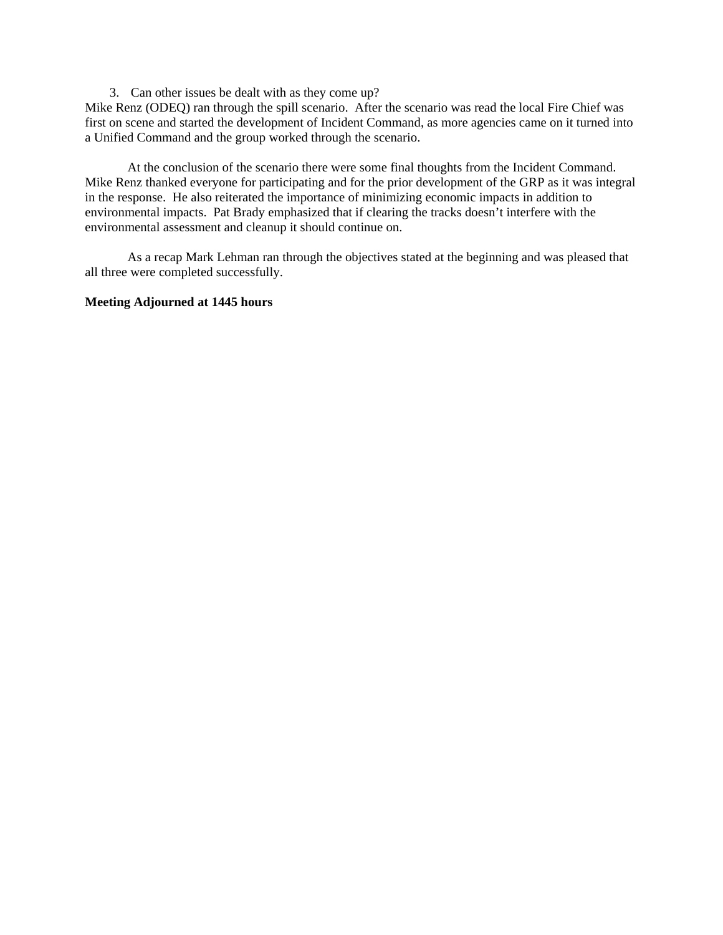3. Can other issues be dealt with as they come up?

Mike Renz (ODEQ) ran through the spill scenario. After the scenario was read the local Fire Chief was first on scene and started the development of Incident Command, as more agencies came on it turned into a Unified Command and the group worked through the scenario.

 At the conclusion of the scenario there were some final thoughts from the Incident Command. Mike Renz thanked everyone for participating and for the prior development of the GRP as it was integral in the response. He also reiterated the importance of minimizing economic impacts in addition to environmental impacts. Pat Brady emphasized that if clearing the tracks doesn't interfere with the environmental assessment and cleanup it should continue on.

 As a recap Mark Lehman ran through the objectives stated at the beginning and was pleased that all three were completed successfully.

# **Meeting Adjourned at 1445 hours**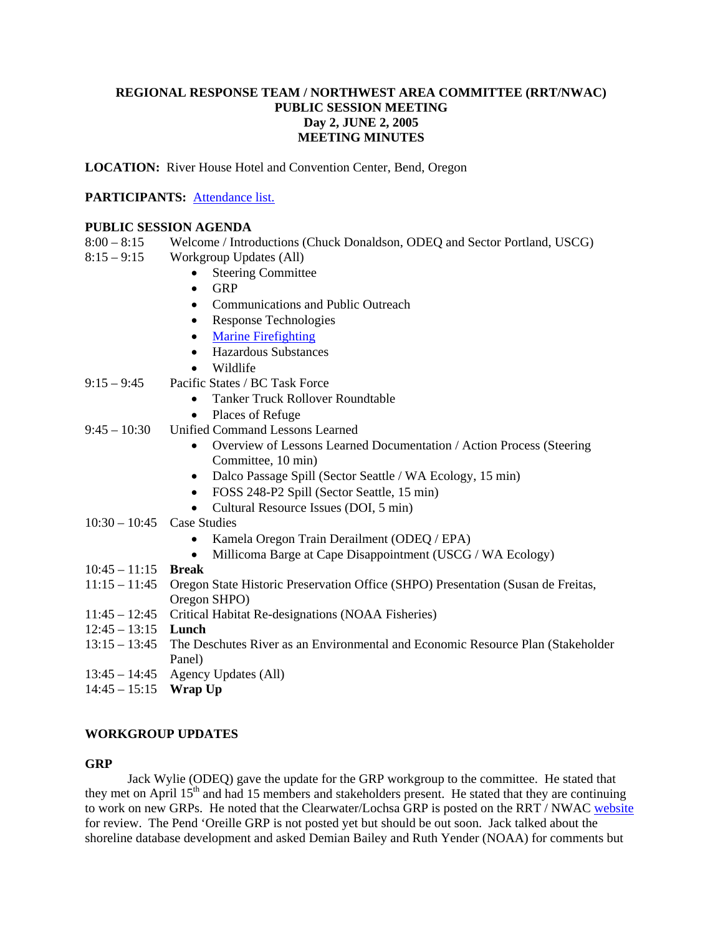# **REGIONAL RESPONSE TEAM / NORTHWEST AREA COMMITTEE (RRT/NWAC) PUBLIC SESSION MEETING Day 2, JUNE 2, 2005 MEETING MINUTES**

**LOCATION:** River House Hotel and Convention Center, Bend, Oregon

# **PARTICIPANTS:** [Attendance list.](http://private.nwac.ene.com/files/temp/June%5FPUBLICAttendance%2Epdf)

## **PUBLIC SESSION AGENDA**

- 8:00 8:15 Welcome / Introductions (Chuck Donaldson, ODEQ and Sector Portland, USCG)
- 8:15 9:15 Workgroup Updates (All)
	- Steering Committee
	- GRP
	- Communications and Public Outreach
	- Response Technologies
	- [Marine Firefighting](http://private.nwac.ene.com/files/temp/RRT%2EFirefighting%2E2005%2EUpdate%2Eppt)
	- Hazardous Substances
		- Wildlife
- 9:15 9:45 Pacific States / BC Task Force
	- Tanker Truck Rollover Roundtable
	- Places of Refuge
- 9:45 10:30 Unified Command Lessons Learned
	- Overview of Lessons Learned Documentation / Action Process (Steering Committee, 10 min)
	- Dalco Passage Spill (Sector Seattle / WA Ecology, 15 min)
	- FOSS 248-P2 Spill (Sector Seattle, 15 min)
	- Cultural Resource Issues (DOI, 5 min)
- 10:30 10:45 Case Studies
	- Kamela Oregon Train Derailment (ODEQ / EPA)
	- Millicoma Barge at Cape Disappointment (USCG / WA Ecology)
- 10:45 11:15 **Break**
- 11:15 11:45 Oregon State Historic Preservation Office (SHPO) Presentation (Susan de Freitas, Oregon SHPO)
- 11:45 12:45 Critical Habitat Re-designations (NOAA Fisheries)
- 12:45 13:15 **Lunch**
- 13:15 13:45 The Deschutes River as an Environmental and Economic Resource Plan (Stakeholder Panel)
- 13:45 14:45 Agency Updates (All)
- 14:45 15:15 **Wrap Up**

# **WORKGROUP UPDATES**

### **GRP**

Jack Wylie (ODEQ) gave the update for the GRP workgroup to the committee. He stated that they met on April 15<sup>th</sup> and had 15 members and stakeholders present. He stated that they are continuing to work on new GRPs. He noted that the Clearwater/Lochsa GRP is posted on the RRT / NWAC [website](http://www.rrt10nwac.com/) for review. The Pend 'Oreille GRP is not posted yet but should be out soon. Jack talked about the shoreline database development and asked Demian Bailey and Ruth Yender (NOAA) for comments but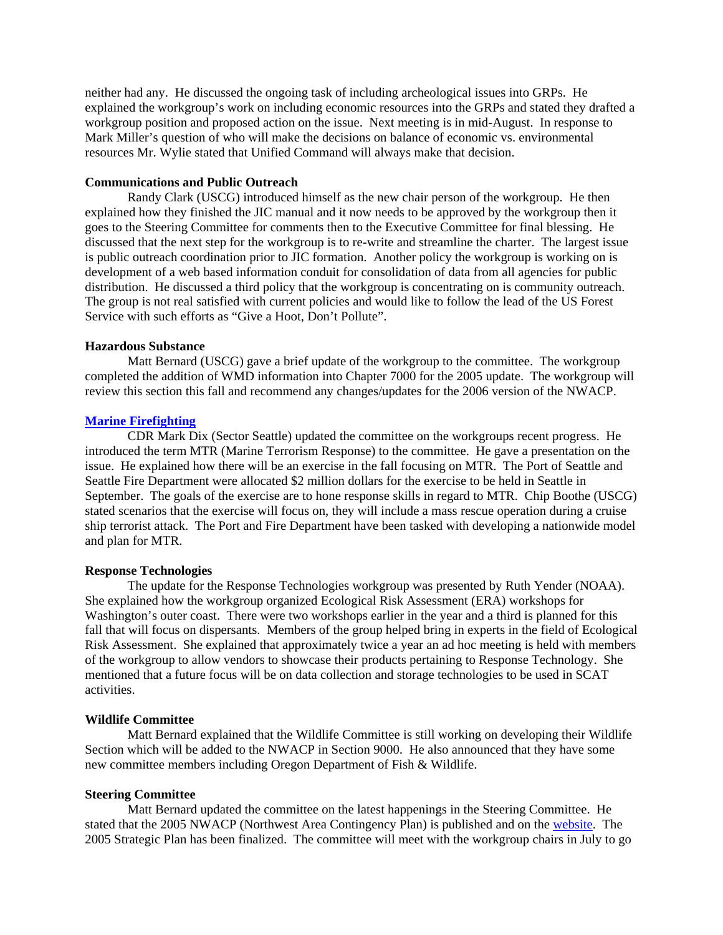neither had any. He discussed the ongoing task of including archeological issues into GRPs. He explained the workgroup's work on including economic resources into the GRPs and stated they drafted a workgroup position and proposed action on the issue. Next meeting is in mid-August. In response to Mark Miller's question of who will make the decisions on balance of economic vs. environmental resources Mr. Wylie stated that Unified Command will always make that decision.

## **Communications and Public Outreach**

Randy Clark (USCG) introduced himself as the new chair person of the workgroup. He then explained how they finished the JIC manual and it now needs to be approved by the workgroup then it goes to the Steering Committee for comments then to the Executive Committee for final blessing. He discussed that the next step for the workgroup is to re-write and streamline the charter. The largest issue is public outreach coordination prior to JIC formation. Another policy the workgroup is working on is development of a web based information conduit for consolidation of data from all agencies for public distribution. He discussed a third policy that the workgroup is concentrating on is community outreach. The group is not real satisfied with current policies and would like to follow the lead of the US Forest Service with such efforts as "Give a Hoot, Don't Pollute".

### **Hazardous Substance**

Matt Bernard (USCG) gave a brief update of the workgroup to the committee. The workgroup completed the addition of WMD information into Chapter 7000 for the 2005 update. The workgroup will review this section this fall and recommend any changes/updates for the 2006 version of the NWACP.

### **[Marine Firefighting](http://private.nwac.ene.com/files/temp/RRT%2EFirefighting%2E2005%2EUpdate%2Eppt)**

 CDR Mark Dix (Sector Seattle) updated the committee on the workgroups recent progress. He introduced the term MTR (Marine Terrorism Response) to the committee. He gave a presentation on the issue. He explained how there will be an exercise in the fall focusing on MTR. The Port of Seattle and Seattle Fire Department were allocated \$2 million dollars for the exercise to be held in Seattle in September. The goals of the exercise are to hone response skills in regard to MTR. Chip Boothe (USCG) stated scenarios that the exercise will focus on, they will include a mass rescue operation during a cruise ship terrorist attack. The Port and Fire Department have been tasked with developing a nationwide model and plan for MTR.

### **Response Technologies**

The update for the Response Technologies workgroup was presented by Ruth Yender (NOAA). She explained how the workgroup organized Ecological Risk Assessment (ERA) workshops for Washington's outer coast. There were two workshops earlier in the year and a third is planned for this fall that will focus on dispersants. Members of the group helped bring in experts in the field of Ecological Risk Assessment. She explained that approximately twice a year an ad hoc meeting is held with members of the workgroup to allow vendors to showcase their products pertaining to Response Technology. She mentioned that a future focus will be on data collection and storage technologies to be used in SCAT activities.

#### **Wildlife Committee**

 Matt Bernard explained that the Wildlife Committee is still working on developing their Wildlife Section which will be added to the NWACP in Section 9000. He also announced that they have some new committee members including Oregon Department of Fish & Wildlife.

### **Steering Committee**

Matt Bernard updated the committee on the latest happenings in the Steering Committee. He stated that the 2005 NWACP (Northwest Area Contingency Plan) is published and on the [website](http://www.rrt10nwac.com/). The 2005 Strategic Plan has been finalized. The committee will meet with the workgroup chairs in July to go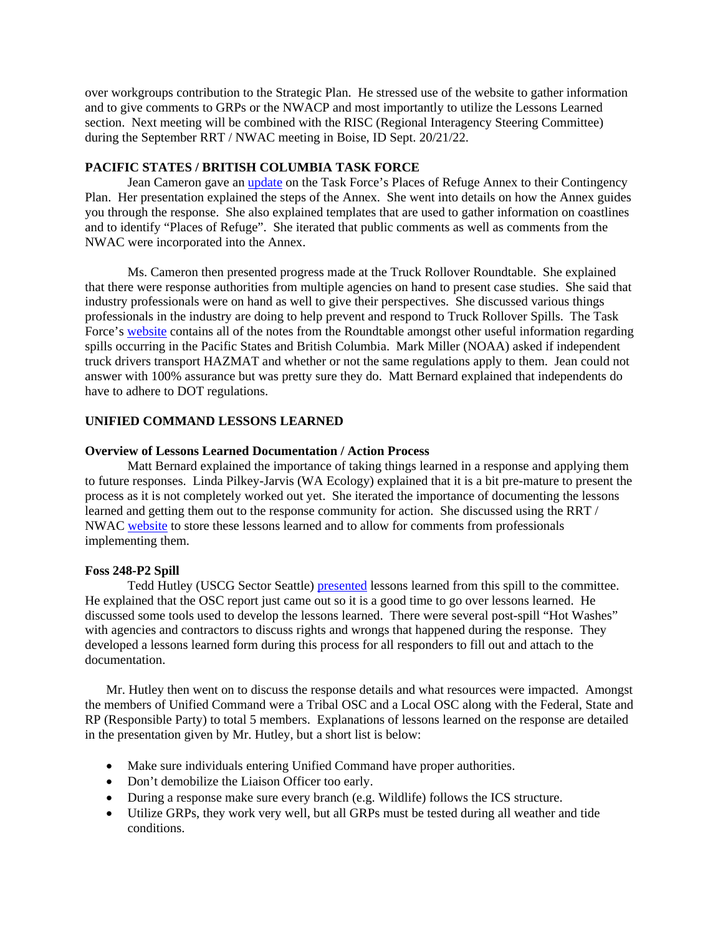over workgroups contribution to the Strategic Plan. He stressed use of the website to gather information and to give comments to GRPs or the NWACP and most importantly to utilize the Lessons Learned section. Next meeting will be combined with the RISC (Regional Interagency Steering Committee) during the September RRT / NWAC meeting in Boise, ID Sept. 20/21/22.

## **PACIFIC STATES / BRITISH COLUMBIA TASK FORCE**

 Jean Cameron gave an [update](http://private.nwac.ene.com/files/temp/RRT%20NWAC2Eppt) on the Task Force's Places of Refuge Annex to their Contingency Plan. Her presentation explained the steps of the Annex. She went into details on how the Annex guides you through the response. She also explained templates that are used to gather information on coastlines and to identify "Places of Refuge". She iterated that public comments as well as comments from the NWAC were incorporated into the Annex.

Ms. Cameron then presented progress made at the Truck Rollover Roundtable. She explained that there were response authorities from multiple agencies on hand to present case studies. She said that industry professionals were on hand as well to give their perspectives. She discussed various things professionals in the industry are doing to help prevent and respond to Truck Rollover Spills. The Task Force's [website](http://www.oilspilltaskforce.org/) contains all of the notes from the Roundtable amongst other useful information regarding spills occurring in the Pacific States and British Columbia. Mark Miller (NOAA) asked if independent truck drivers transport HAZMAT and whether or not the same regulations apply to them. Jean could not answer with 100% assurance but was pretty sure they do. Matt Bernard explained that independents do have to adhere to DOT regulations.

## **UNIFIED COMMAND LESSONS LEARNED**

#### **Overview of Lessons Learned Documentation / Action Process**

Matt Bernard explained the importance of taking things learned in a response and applying them to future responses. Linda Pilkey-Jarvis (WA Ecology) explained that it is a bit pre-mature to present the process as it is not completely worked out yet. She iterated the importance of documenting the lessons learned and getting them out to the response community for action. She discussed using the RRT / NWAC [website](http://www.rrt10nwac.com/) to store these lessons learned and to allow for comments from professionals implementing them.

### **Foss 248-P2 Spill**

Tedd Hutley (USCG Sector Seattle) [presented](http://private.nwac.ene.com/files/temp/RRT%5FLesson%5FLearned%5B1%5D%2Eppt) lessons learned from this spill to the committee. He explained that the OSC report just came out so it is a good time to go over lessons learned. He discussed some tools used to develop the lessons learned. There were several post-spill "Hot Washes" with agencies and contractors to discuss rights and wrongs that happened during the response. They developed a lessons learned form during this process for all responders to fill out and attach to the documentation.

Mr. Hutley then went on to discuss the response details and what resources were impacted. Amongst the members of Unified Command were a Tribal OSC and a Local OSC along with the Federal, State and RP (Responsible Party) to total 5 members. Explanations of lessons learned on the response are detailed in the presentation given by Mr. Hutley, but a short list is below:

- Make sure individuals entering Unified Command have proper authorities.
- Don't demobilize the Liaison Officer too early.
- During a response make sure every branch (e.g. Wildlife) follows the ICS structure.
- Utilize GRPs, they work very well, but all GRPs must be tested during all weather and tide conditions.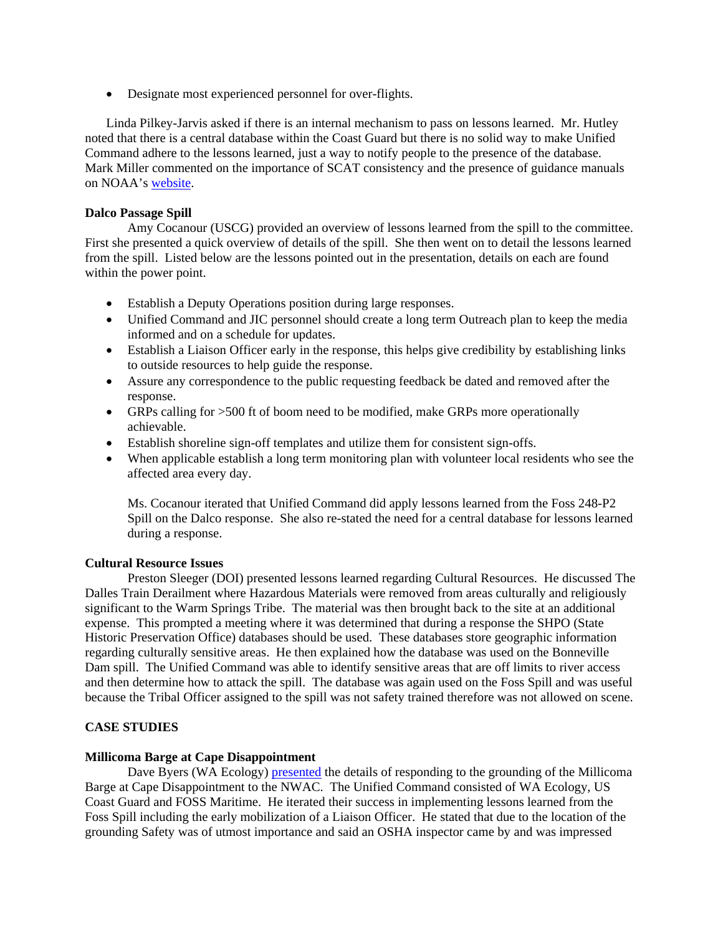• Designate most experienced personnel for over-flights.

Linda Pilkey-Jarvis asked if there is an internal mechanism to pass on lessons learned. Mr. Hutley noted that there is a central database within the Coast Guard but there is no solid way to make Unified Command adhere to the lessons learned, just a way to notify people to the presence of the database. Mark Miller commented on the importance of SCAT consistency and the presence of guidance manuals on NOAA's [website.](http://www.noaa.gov/)

## **Dalco Passage Spill**

Amy Cocanour (USCG) provided an overview of lessons learned from the spill to the committee. First she presented a quick overview of details of the spill. She then went on to detail the lessons learned from the spill. Listed below are the lessons pointed out in the presentation, details on each are found within the power point.

- Establish a Deputy Operations position during large responses.
- Unified Command and JIC personnel should create a long term Outreach plan to keep the media informed and on a schedule for updates.
- Establish a Liaison Officer early in the response, this helps give credibility by establishing links to outside resources to help guide the response.
- Assure any correspondence to the public requesting feedback be dated and removed after the response.
- GRPs calling for >500 ft of boom need to be modified, make GRPs more operationally achievable.
- Establish shoreline sign-off templates and utilize them for consistent sign-offs.
- When applicable establish a long term monitoring plan with volunteer local residents who see the affected area every day.

Ms. Cocanour iterated that Unified Command did apply lessons learned from the Foss 248-P2 Spill on the Dalco response. She also re-stated the need for a central database for lessons learned during a response.

### **Cultural Resource Issues**

Preston Sleeger (DOI) presented lessons learned regarding Cultural Resources. He discussed The Dalles Train Derailment where Hazardous Materials were removed from areas culturally and religiously significant to the Warm Springs Tribe. The material was then brought back to the site at an additional expense. This prompted a meeting where it was determined that during a response the SHPO (State Historic Preservation Office) databases should be used. These databases store geographic information regarding culturally sensitive areas. He then explained how the database was used on the Bonneville Dam spill. The Unified Command was able to identify sensitive areas that are off limits to river access and then determine how to attack the spill. The database was again used on the Foss Spill and was useful because the Tribal Officer assigned to the spill was not safety trained therefore was not allowed on scene.

## **CASE STUDIES**

### **Millicoma Barge at Cape Disappointment**

Dave Byers (WA Ecology) [presented](http://private.nwac.ene.com/files/temp/milicoma%2Eppt) the details of responding to the grounding of the Millicoma Barge at Cape Disappointment to the NWAC. The Unified Command consisted of WA Ecology, US Coast Guard and FOSS Maritime. He iterated their success in implementing lessons learned from the Foss Spill including the early mobilization of a Liaison Officer. He stated that due to the location of the grounding Safety was of utmost importance and said an OSHA inspector came by and was impressed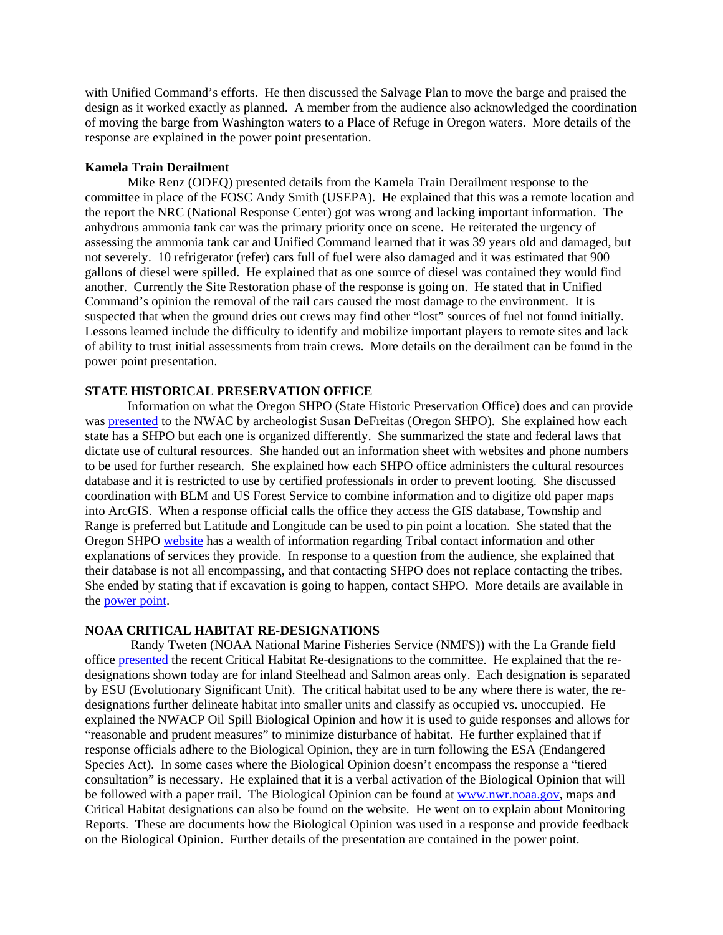with Unified Command's efforts. He then discussed the Salvage Plan to move the barge and praised the design as it worked exactly as planned. A member from the audience also acknowledged the coordination of moving the barge from Washington waters to a Place of Refuge in Oregon waters. More details of the response are explained in the power point presentation.

### **Kamela Train Derailment**

Mike Renz (ODEQ) presented details from the Kamela Train Derailment response to the committee in place of the FOSC Andy Smith (USEPA). He explained that this was a remote location and the report the NRC (National Response Center) got was wrong and lacking important information. The anhydrous ammonia tank car was the primary priority once on scene. He reiterated the urgency of assessing the ammonia tank car and Unified Command learned that it was 39 years old and damaged, but not severely. 10 refrigerator (refer) cars full of fuel were also damaged and it was estimated that 900 gallons of diesel were spilled. He explained that as one source of diesel was contained they would find another. Currently the Site Restoration phase of the response is going on. He stated that in Unified Command's opinion the removal of the rail cars caused the most damage to the environment. It is suspected that when the ground dries out crews may find other "lost" sources of fuel not found initially. Lessons learned include the difficulty to identify and mobilize important players to remote sites and lack of ability to trust initial assessments from train crews. More details on the derailment can be found in the power point presentation.

## **STATE HISTORICAL PRESERVATION OFFICE**

 Information on what the Oregon SHPO (State Historic Preservation Office) does and can provide was [presented](http://private.nwac.ene.com/files/temp/RRT%20NWAC%20presentation%20SHPO%20June%202%202005%2Eppt) to the NWAC by archeologist Susan DeFreitas (Oregon SHPO). She explained how each state has a SHPO but each one is organized differently. She summarized the state and federal laws that dictate use of cultural resources. She handed out an information sheet with websites and phone numbers to be used for further research. She explained how each SHPO office administers the cultural resources database and it is restricted to use by certified professionals in order to prevent looting. She discussed coordination with BLM and US Forest Service to combine information and to digitize old paper maps into ArcGIS. When a response official calls the office they access the GIS database, Township and Range is preferred but Latitude and Longitude can be used to pin point a location. She stated that the Oregon SHPO [website](http://egov.oregon.gov/OPRD/HCD/ARCH/) has a wealth of information regarding Tribal contact information and other explanations of services they provide. In response to a question from the audience, she explained that their database is not all encompassing, and that contacting SHPO does not replace contacting the tribes. She ended by stating that if excavation is going to happen, contact SHPO. More details are available in the [power point](http://private.nwac.ene.com/files/temp/RRT%20NWAC%20presentation%20SHPO%20June%202%202005%2Eppt).

### **NOAA CRITICAL HABITAT RE-DESIGNATIONS**

 Randy Tweten (NOAA National Marine Fisheries Service (NMFS)) with the La Grande field office [presented](http://private.nwac.ene.com/files/temp/CH%20and%20Oil%20Spill%20presentation%202June05%2Eppt) the recent Critical Habitat Re-designations to the committee. He explained that the redesignations shown today are for inland Steelhead and Salmon areas only. Each designation is separated by ESU (Evolutionary Significant Unit). The critical habitat used to be any where there is water, the redesignations further delineate habitat into smaller units and classify as occupied vs. unoccupied. He explained the NWACP Oil Spill Biological Opinion and how it is used to guide responses and allows for "reasonable and prudent measures" to minimize disturbance of habitat. He further explained that if response officials adhere to the Biological Opinion, they are in turn following the ESA (Endangered Species Act). In some cases where the Biological Opinion doesn't encompass the response a "tiered consultation" is necessary. He explained that it is a verbal activation of the Biological Opinion that will be followed with a paper trail. The Biological Opinion can be found at [www.nwr.noaa.gov](http://www.nwr.noaa.gov/), maps and Critical Habitat designations can also be found on the website. He went on to explain about Monitoring Reports. These are documents how the Biological Opinion was used in a response and provide feedback on the Biological Opinion. Further details of the presentation are contained in the power point.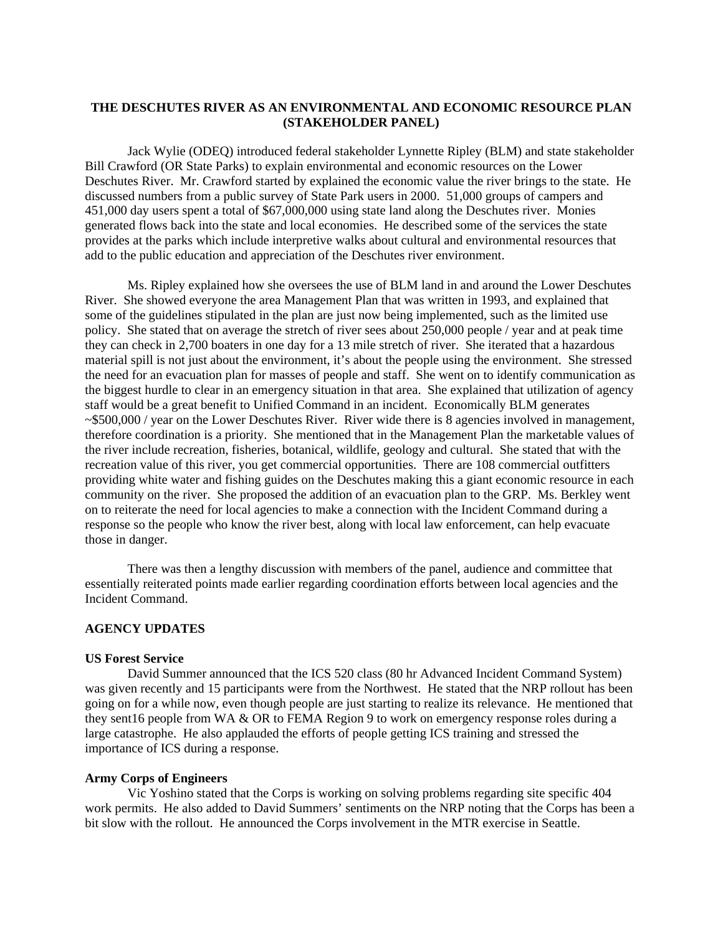## **THE DESCHUTES RIVER AS AN ENVIRONMENTAL AND ECONOMIC RESOURCE PLAN (STAKEHOLDER PANEL)**

 Jack Wylie (ODEQ) introduced federal stakeholder Lynnette Ripley (BLM) and state stakeholder Bill Crawford (OR State Parks) to explain environmental and economic resources on the Lower Deschutes River. Mr. Crawford started by explained the economic value the river brings to the state. He discussed numbers from a public survey of State Park users in 2000. 51,000 groups of campers and 451,000 day users spent a total of \$67,000,000 using state land along the Deschutes river. Monies generated flows back into the state and local economies. He described some of the services the state provides at the parks which include interpretive walks about cultural and environmental resources that add to the public education and appreciation of the Deschutes river environment.

Ms. Ripley explained how she oversees the use of BLM land in and around the Lower Deschutes River. She showed everyone the area Management Plan that was written in 1993, and explained that some of the guidelines stipulated in the plan are just now being implemented, such as the limited use policy. She stated that on average the stretch of river sees about 250,000 people / year and at peak time they can check in 2,700 boaters in one day for a 13 mile stretch of river. She iterated that a hazardous material spill is not just about the environment, it's about the people using the environment. She stressed the need for an evacuation plan for masses of people and staff. She went on to identify communication as the biggest hurdle to clear in an emergency situation in that area. She explained that utilization of agency staff would be a great benefit to Unified Command in an incident. Economically BLM generates ~\$500,000 / year on the Lower Deschutes River. River wide there is 8 agencies involved in management, therefore coordination is a priority. She mentioned that in the Management Plan the marketable values of the river include recreation, fisheries, botanical, wildlife, geology and cultural. She stated that with the recreation value of this river, you get commercial opportunities. There are 108 commercial outfitters providing white water and fishing guides on the Deschutes making this a giant economic resource in each community on the river. She proposed the addition of an evacuation plan to the GRP. Ms. Berkley went on to reiterate the need for local agencies to make a connection with the Incident Command during a response so the people who know the river best, along with local law enforcement, can help evacuate those in danger.

There was then a lengthy discussion with members of the panel, audience and committee that essentially reiterated points made earlier regarding coordination efforts between local agencies and the Incident Command.

### **AGENCY UPDATES**

## **US Forest Service**

David Summer announced that the ICS 520 class (80 hr Advanced Incident Command System) was given recently and 15 participants were from the Northwest. He stated that the NRP rollout has been going on for a while now, even though people are just starting to realize its relevance. He mentioned that they sent16 people from WA & OR to FEMA Region 9 to work on emergency response roles during a large catastrophe. He also applauded the efforts of people getting ICS training and stressed the importance of ICS during a response.

### **Army Corps of Engineers**

Vic Yoshino stated that the Corps is working on solving problems regarding site specific 404 work permits. He also added to David Summers' sentiments on the NRP noting that the Corps has been a bit slow with the rollout. He announced the Corps involvement in the MTR exercise in Seattle.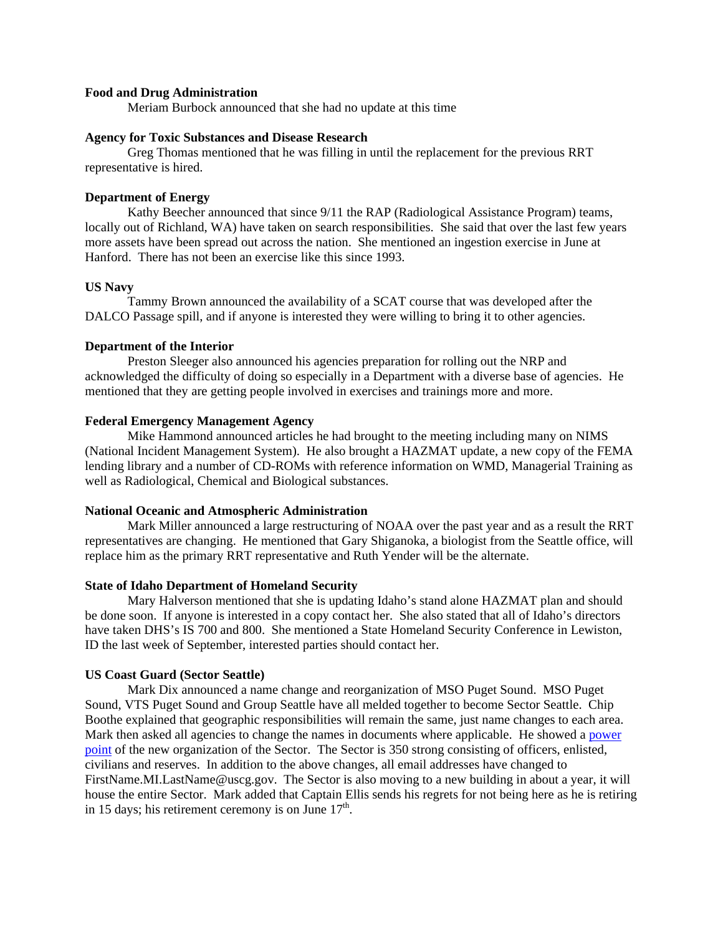### **Food and Drug Administration**

Meriam Burbock announced that she had no update at this time

### **Agency for Toxic Substances and Disease Research**

Greg Thomas mentioned that he was filling in until the replacement for the previous RRT representative is hired.

#### **Department of Energy**

Kathy Beecher announced that since 9/11 the RAP (Radiological Assistance Program) teams, locally out of Richland, WA) have taken on search responsibilities. She said that over the last few years more assets have been spread out across the nation. She mentioned an ingestion exercise in June at Hanford. There has not been an exercise like this since 1993.

### **US Navy**

Tammy Brown announced the availability of a SCAT course that was developed after the DALCO Passage spill, and if anyone is interested they were willing to bring it to other agencies.

### **Department of the Interior**

Preston Sleeger also announced his agencies preparation for rolling out the NRP and acknowledged the difficulty of doing so especially in a Department with a diverse base of agencies. He mentioned that they are getting people involved in exercises and trainings more and more.

## **Federal Emergency Management Agency**

Mike Hammond announced articles he had brought to the meeting including many on NIMS (National Incident Management System). He also brought a HAZMAT update, a new copy of the FEMA lending library and a number of CD-ROMs with reference information on WMD, Managerial Training as well as Radiological, Chemical and Biological substances.

#### **National Oceanic and Atmospheric Administration**

Mark Miller announced a large restructuring of NOAA over the past year and as a result the RRT representatives are changing. He mentioned that Gary Shiganoka, a biologist from the Seattle office, will replace him as the primary RRT representative and Ruth Yender will be the alternate.

#### **State of Idaho Department of Homeland Security**

Mary Halverson mentioned that she is updating Idaho's stand alone HAZMAT plan and should be done soon. If anyone is interested in a copy contact her. She also stated that all of Idaho's directors have taken DHS's IS 700 and 800. She mentioned a State Homeland Security Conference in Lewiston, ID the last week of September, interested parties should contact her.

### **US Coast Guard (Sector Seattle)**

Mark Dix announced a name change and reorganization of MSO Puget Sound. MSO Puget Sound, VTS Puget Sound and Group Seattle have all melded together to become Sector Seattle. Chip Boothe explained that geographic responsibilities will remain the same, just name changes to each area. Mark then asked all agencies to change the names in documents where applicable. He showed a [power](http://private.nwac.ene.com/files/temp/Sector%2Eppt)  [point](http://private.nwac.ene.com/files/temp/Sector%2Eppt) of the new organization of the Sector. The Sector is 350 strong consisting of officers, enlisted, civilians and reserves. In addition to the above changes, all email addresses have changed to FirstName.MI.LastName@uscg.gov. The Sector is also moving to a new building in about a year, it will house the entire Sector. Mark added that Captain Ellis sends his regrets for not being here as he is retiring in 15 days; his retirement ceremony is on June  $17<sup>th</sup>$ .